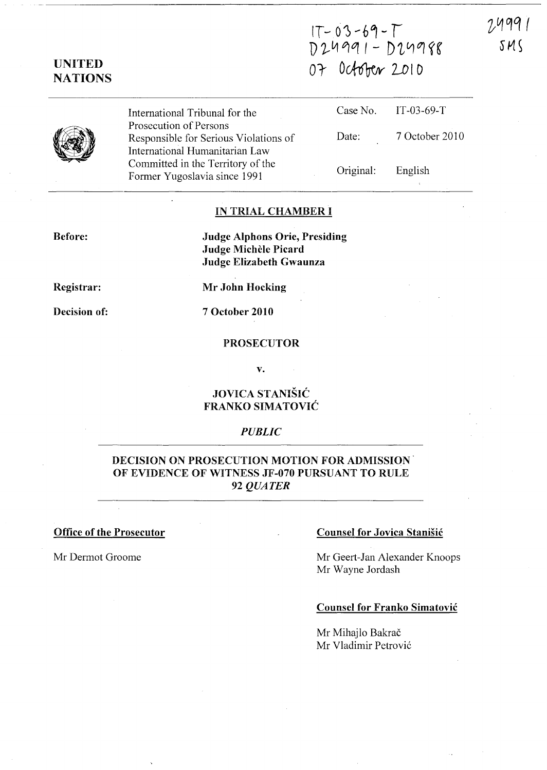$1$   $0$   $5$   $6$   $1$  $D$ 24991 -  $D$ 24988 07 October 2010

# UNITED **NATIONS**

International Tribunal for the Prosecution of Persons Responsible for Serious Violations of International Humanitarian Law Committed in the Territory of the Former Yugoslavia since 1991

|            | Case No. $IT-03-69-T$ |
|------------|-----------------------|
| Date:<br>٠ | 7 October 2010        |

Original:

# English

#### IN TRIAL CHAMBER I

Before:

Judge Alphons Orie, Presiding Judge Michèle Picard Judge Elizabeth Gwaunza

Registrar:

Mr John Hocking

Decision of:

7 October 2010

### PROSECUTOR

v.

## JOVICA STANISIC FRANKO SIMATOVIC

#### *PUBLIC*

# DECISION ON PROSECUTION MOTION FOR ADMISSION OF EVIDENCE OF WITNESS JF-070 PURSUANT TO RULE *92 QUATER*

#### Office of the Prosecutor Counsel for Jovica Stanisic

Mr Dermot Groome Mr Geert-Jan Alexander Knoops Mr Wayne Jordash

#### Counsel for Franko Simatovic

Mr Mihajlo Bakrač Mr Vladimir Petrović 24991  $SMS$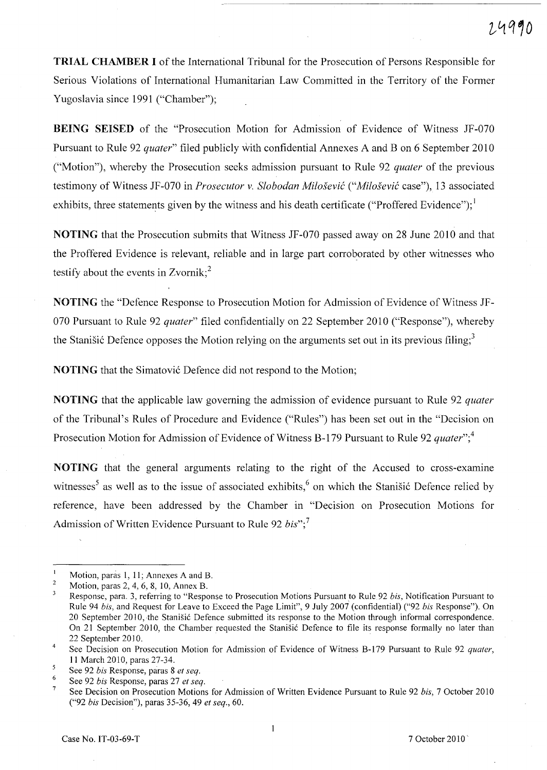**TRIAL CHAMBER I** of the International Tribunal for the Prosecution of Persons Responsible for Serious Violations of International Humanitarian Law Committed in the Territory of the Former Yugoslavia since 1991 ("Chamber");

**BEING** SEISED of the "Prosecution Motion for Admission of Evidence of Witness JF-070 Pursuant to Rule 92 *quater"* filed publicly with confidential Annexes A and B on 6 September 2010 ("Motion"), whereby the Prosecution seeks admission pursuant to Rule 92 *quater* of the previous testimony of Witness JF -070 in *Prosecutor* v. *Slobodan Milosevic ("Milosevic* case"), 13 associated exhibits, three statements given by the witness and his death certificate ("Proffered Evidence");  $\frac{1}{2}$ 

**NOTING** that the Prosecution submits that Witness JF-070 passed away on 28 June 2010 and that the Proffered Evidence is relevant, reliable and in large part corroborated by other witnesses who testify about the events in Zvornik:<sup>2</sup>

**NOTING** the "Defence Response to Prosecution Motion for Admission of Evidence of Witness JF-070 Pursuant to Rule 92 *quater"* filed confidentially on 22 September 2010 ("Response"), whereby the Stanišić Defence opposes the Motion relying on the arguments set out in its previous filing;<sup>3</sup>

**NOTING** that the Simatović Defence did not respond to the Motion;

**NOTING** that the applicable law governing the admission of evidence pursuant to Rule 92 *quater*  of the Tribunal's Rules of Procedure and Evidence ("Rules") has been set out in the "Decision on Prosecution Motion for Admission of Evidence of Witness B-179 Pursuant to Rule 92 *quater*<sup>7</sup>;<sup>4</sup>

**NOTING** that the general arguments relating to the right of the Accused to cross-examine witnesses<sup>5</sup> as well as to the issue of associated exhibits,<sup>6</sup> on which the Stanisic Defence relied by reference, have been addressed by the Chamber in "Decision on Prosecution Motions for Admission of Written Evidence Pursuant to Rule 92 *bis"; 7* 

Motion, paras 1, 11; Annexes A and B.

<sup>2</sup>  Motion, paras 2,4,6,8, 10, Annex B.

 $\overline{\mathbf{3}}$ Response, para. 3, referring to "Response to Prosecution Motions Pursuant to Rule 92 *his,* Notification Pursuant to Rule 94 *his,* and Request for Leave to Exceed the Page Limit", 9 July 2007' (confidential) ("92 *his* Response"). On 20 September 2010, the Stanišić Defence submitted its response to the Motion through informal correspondence. On 21 September 2010, the Chamber requested the Stanišić Defence to file its response formally no later than 22 September 2010.

<sup>4</sup>  See Decision on Prosecution Motion for Admission of Evidence of Witness B-179 Pursuant to Rule 92 *quater,*  **]]** March 20]0, paras 27-34.

 $\overline{\mathbf{5}}$ See 92 *his* Response, paras 8 *et seq.* 

<sup>6</sup>  See 92 *his* Response, paras 27 *et seq.* 

<sup>7</sup>  See Decision on Prosecution Motions for Admission of Written Evidence Pursuant to Rule 92 *his,* 7 October 2010 *("92 his* Decision"), paras 35-36, 49 *et seq., 60.*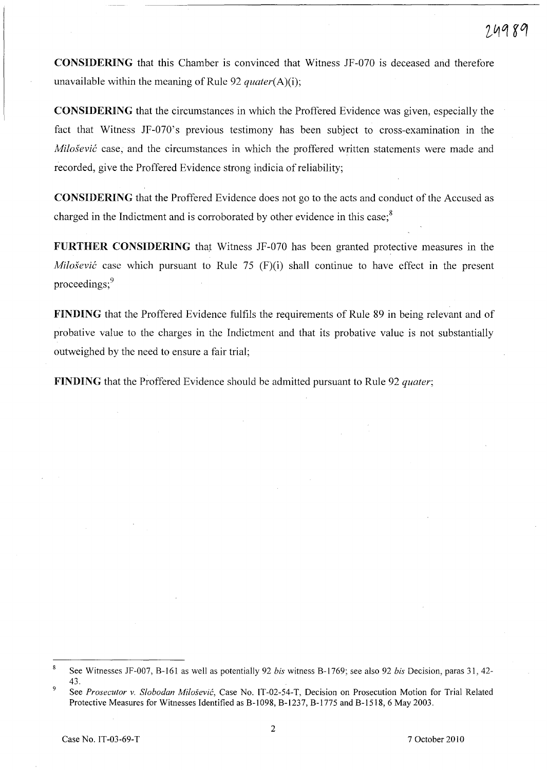CONSIDERING that this Chamber is convinced that Witness JF-070 is deceased and therefore unavailable within the meaning of Rule 92 *quater(A)(i);* 

CONSIDERING that the circumstances in which the Proffered Evidence was given, especially the fact that Witness JF-070's previous testimony has been subject to cross-examination in the *Milošević* case, and the circumstances in which the proffered written statements were made and recorded, give the Proffered Evidence strong indicia of reliability;

CONSIDERING that the Proffered Evidence does not go to the acts and conduct of the Accused as charged in the Indictment and is corroborated by other evidence in this case;<sup>8</sup>

FURTHER CONSIDERING that Witness JF-070 has been granted protective measures in the *Milošević* case which pursuant to Rule 75 (F)(i) shall continue to have effect in the present proceedings;<sup>9</sup>

FINDING that the Proffered Evidence fulfils the requirements of Rule 89 in being relevant and of probative value to the charges in the Indictment and that its probative value is not substantially outweighed by the need to ensure a fair trial;

FINDING that the Proffered Evidence should be admitted pursuant to Rule 92 *quater;* 

 $\boldsymbol{8}$ See Witnesses JF-007, B-161 as well as potentially 92 *bis* witness B-1769; see also 92 *bis* Decision, paras 31, 42- 43.

<sup>9</sup>  See *Prosecutor* v. *Slobodan Milosevic,* Case No. IT-02-54-T, Decision on Prosecution Motion for Trial Related Protective Measures for Witnesses Identified as B-I098, B-I237, B-I775 and B-1518, 6 May 2003.